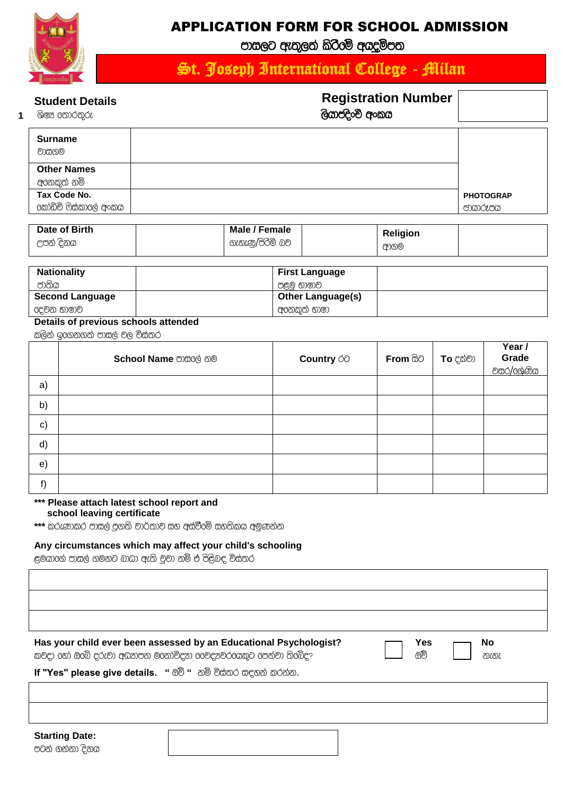

**1**

### APPLICATION FORM FOR SCHOOL ADMISSION

පාසලට ඇතුලත් කිරීමේ අගදම්පත

# St. Joseph International College - Milan

#### **Student Details**

## **Registration Number**

| ශිෂෂ තොරතුරු           | ලියාපදිංචි අංකය |                  |
|------------------------|-----------------|------------------|
|                        |                 |                  |
| <b>Surname</b>         |                 |                  |
| වාසගම                  |                 |                  |
| <b>Other Names</b>     |                 |                  |
| අගනකුත් නම්            |                 |                  |
| Tax Code No.           |                 | <b>PHOTOGRAP</b> |
| 6කා්ඩිචි ෆිස්කාලේ අංකය |                 | ඐගරූපය           |
|                        |                 |                  |

| Date of Birth | Male / Female   | <b>Religion</b> |  |
|---------------|-----------------|-----------------|--|
| උපන් දිනය     | ගැහැණ/පිරිමි බව | ආගම             |  |

| <b>Nationality</b>     | <b>First Language</b>    |
|------------------------|--------------------------|
| ජාතිය                  | පළමු භාෂාව               |
| <b>Second Language</b> | <b>Other Language(s)</b> |
| 6දවන භාෂාව             | අගනකුත් භාෂා             |

#### **Details of previous schools attended**

කලින් ඉගෙනගත් පාසල් වල විස්තර

|    | School Name mace and | Country <b>ó</b> | <b>From සිට</b> | <b>To</b> දක්වා | Year /<br><b>Grade</b><br><u>වසර/ලශ්ණිය</u> |
|----|----------------------|------------------|-----------------|-----------------|---------------------------------------------|
| a) |                      |                  |                 |                 |                                             |
| b) |                      |                  |                 |                 |                                             |
| c) |                      |                  |                 |                 |                                             |
| d) |                      |                  |                 |                 |                                             |
| e) |                      |                  |                 |                 |                                             |
| f) |                      |                  |                 |                 |                                             |

#### **\*\*\* Please attach latest school report and school leaving certificate**

\*\*\* කරුණාකර පාසල් පුගති වාර්තාව සහ අස්වීමේ සහතිකය අමුණන්න

#### **Any circumstances which may affect your child's schooling**

ළමයාගේ පාසල් ගමනට බාඛා ඇති වුවා නම් එ පිළිබඳ විස්තර

#### **Has your child ever been assessed by an Educational Psychologist?**

කවදා හෝ ඔබේ දරුවා අධනපන මනෝවිදන ගෙවදුනවරගෙකුට පෙන්වා තිබේද?

If "Yes" please give details. " ඕච් " නම් විස්තර සඳහන් කරන්න.

**Starting Date:** පටන් ගන්නා දිනය

**Yes** ලාවි

**No** නැහැ